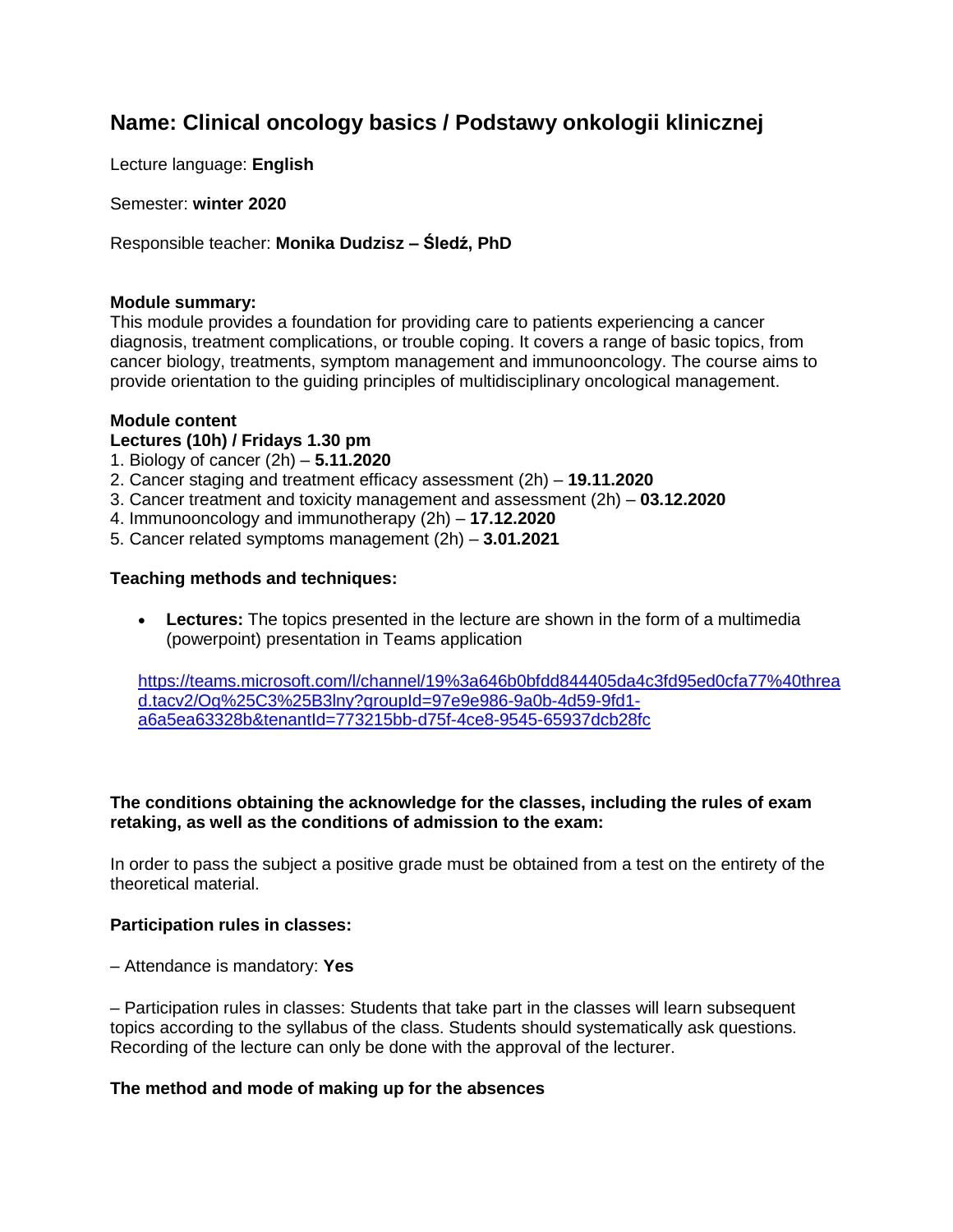# **Name: Clinical oncology basics / Podstawy onkologii klinicznej**

Lecture language: **English**

Semester: **winter 2020**

Responsible teacher: **Monika Dudzisz – Śledź, PhD**

#### **Module summary:**

This module provides a foundation for providing care to patients experiencing a cancer diagnosis, treatment complications, or trouble coping. It covers a range of basic topics, from cancer biology, treatments, symptom management and immunooncology. The course aims to provide orientation to the guiding principles of multidisciplinary oncological management.

#### **Module content**

#### **Lectures (10h) / Fridays 1.30 pm**

- 1. Biology of cancer (2h) **5.11.2020**
- 2. Cancer staging and treatment efficacy assessment (2h) **19.11.2020**
- 3. Cancer treatment and toxicity management and assessment (2h) **03.12.2020**
- 4. Immunooncology and immunotherapy (2h) **17.12.2020**
- 5. Cancer related symptoms management (2h) **3.01.2021**

#### **Teaching methods and techniques:**

 **Lectures:** The topics presented in the lecture are shown in the form of a multimedia (powerpoint) presentation in Teams application

[https://teams.microsoft.com/l/channel/19%3a646b0bfdd844405da4c3fd95ed0cfa77%40threa](https://teams.microsoft.com/l/channel/19%3a646b0bfdd844405da4c3fd95ed0cfa77%40thread.tacv2/Og%25C3%25B3lny?groupId=97e9e986-9a0b-4d59-9fd1-a6a5ea63328b&tenantId=773215bb-d75f-4ce8-9545-65937dcb28fc) [d.tacv2/Og%25C3%25B3lny?groupId=97e9e986-9a0b-4d59-9fd1](https://teams.microsoft.com/l/channel/19%3a646b0bfdd844405da4c3fd95ed0cfa77%40thread.tacv2/Og%25C3%25B3lny?groupId=97e9e986-9a0b-4d59-9fd1-a6a5ea63328b&tenantId=773215bb-d75f-4ce8-9545-65937dcb28fc) [a6a5ea63328b&tenantId=773215bb-d75f-4ce8-9545-65937dcb28fc](https://teams.microsoft.com/l/channel/19%3a646b0bfdd844405da4c3fd95ed0cfa77%40thread.tacv2/Og%25C3%25B3lny?groupId=97e9e986-9a0b-4d59-9fd1-a6a5ea63328b&tenantId=773215bb-d75f-4ce8-9545-65937dcb28fc)

#### **The conditions obtaining the acknowledge for the classes, including the rules of exam retaking, as well as the conditions of admission to the exam:**

In order to pass the subject a positive grade must be obtained from a test on the entirety of the theoretical material.

#### **Participation rules in classes:**

– Attendance is mandatory: **Yes**

– Participation rules in classes: Students that take part in the classes will learn subsequent topics according to the syllabus of the class. Students should systematically ask questions. Recording of the lecture can only be done with the approval of the lecturer.

#### **The method and mode of making up for the absences**